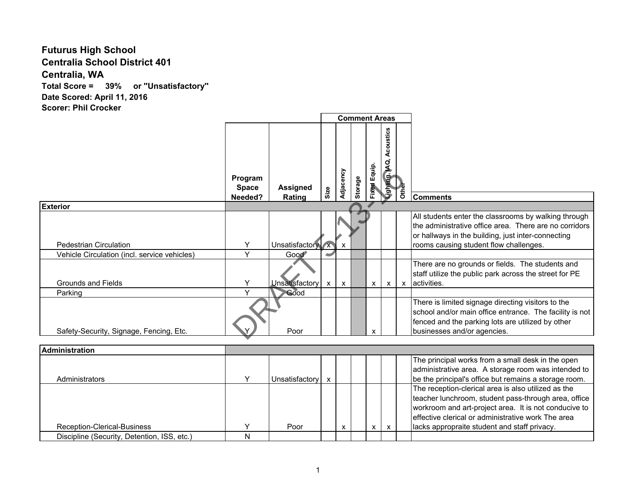## **Futurus High School Centralia School District 401 Centralia, WA Total Score = 39% or ''Unsatisfactory'' Date Scored: April 11, 2016 Scorer: Phil Crocker**

|                                              |                         |                       | <b>Comment Areas</b> |                           |         |              |                            |              |                                                                                                                                                                                                                            |
|----------------------------------------------|-------------------------|-----------------------|----------------------|---------------------------|---------|--------------|----------------------------|--------------|----------------------------------------------------------------------------------------------------------------------------------------------------------------------------------------------------------------------------|
|                                              | Program<br><b>Space</b> | <b>Assigned</b>       | Size                 | Adjacency                 | Storage | Fixed Equip. | Acoustics<br>Lighting, AQ. | <b>Other</b> |                                                                                                                                                                                                                            |
|                                              | Needed?                 | Rating                |                      |                           |         |              |                            |              | <b>Comments</b>                                                                                                                                                                                                            |
| <b>Exterior</b>                              |                         |                       |                      |                           |         |              |                            |              |                                                                                                                                                                                                                            |
| <b>Pedestrian Circulation</b>                | Y                       | Unsatisfactory x      |                      | $\boldsymbol{\mathsf{x}}$ |         |              |                            |              | All students enter the classrooms by walking through<br>the administrative office area. There are no corridors<br>or hallways in the building, just inter-connecting<br>rooms causing student flow challenges.             |
| Vehicle Circulation (incl. service vehicles) | $\overline{\mathsf{v}}$ | Good <sup>®</sup>     |                      |                           |         |              |                            |              |                                                                                                                                                                                                                            |
| <b>Grounds and Fields</b>                    | Y                       | <b>Unsatisfactory</b> | X                    | $\boldsymbol{\mathsf{x}}$ |         | x            | x                          |              | There are no grounds or fields. The students and<br>staff utilize the public park across the street for PE<br>x activities.                                                                                                |
| Parking                                      | $\vee$                  | Good                  |                      |                           |         |              |                            |              |                                                                                                                                                                                                                            |
| Safety-Security, Signage, Fencing, Etc.      |                         | Poor                  |                      |                           |         | x            |                            |              | There is limited signage directing visitors to the<br>school and/or main office entrance. The facility is not<br>fenced and the parking lots are utilized by other<br>businesses and/or agencies.                          |
|                                              |                         |                       |                      |                           |         |              |                            |              |                                                                                                                                                                                                                            |
| <b>Administration</b>                        |                         |                       |                      |                           |         |              |                            |              |                                                                                                                                                                                                                            |
| Administrators                               | Y                       | Unsatisfactory        | $\mathbf{x}$         |                           |         |              |                            |              | The principal works from a small desk in the open<br>administrative area. A storage room was intended to<br>be the principal's office but remains a storage room.                                                          |
|                                              |                         |                       |                      |                           |         |              |                            |              | The reception-clerical area is also utilized as the<br>teacher lunchroom, student pass-through area, office<br>workroom and art-project area. It is not conducive to<br>effective clerical or administrative work The area |
| Reception-Clerical-Business                  | Y                       | Poor                  |                      | X                         |         | x            | X                          |              | lacks appropraite student and staff privacy.                                                                                                                                                                               |
| Discipline (Security, Detention, ISS, etc.)  | N                       |                       |                      |                           |         |              |                            |              |                                                                                                                                                                                                                            |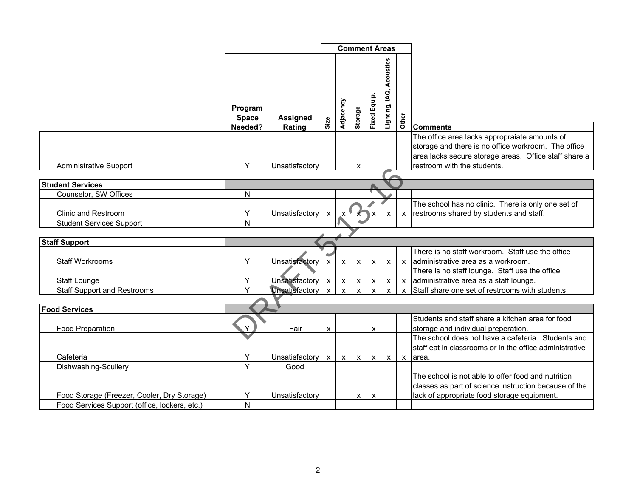|                                               |                                    |                           | <b>Comment Areas</b> |                           |              |                           |                             |              |                                                                                                                                                                                              |
|-----------------------------------------------|------------------------------------|---------------------------|----------------------|---------------------------|--------------|---------------------------|-----------------------------|--------------|----------------------------------------------------------------------------------------------------------------------------------------------------------------------------------------------|
|                                               | Program<br><b>Space</b><br>Needed? | <b>Assigned</b><br>Rating | Size                 | Adjacency                 | Storage      | <b>Fixed Equip.</b>       | Acoustics<br>Lighting, IAQ, | Other        | <b>Comments</b>                                                                                                                                                                              |
| <b>Administrative Support</b>                 | Y                                  | Unsatisfactory            |                      |                           | X            |                           |                             |              | The office area lacks appropraiate amounts of<br>storage and there is no office workroom. The office<br>area lacks secure storage areas. Office staff share a<br>restroom with the students. |
|                                               |                                    |                           |                      |                           |              |                           |                             |              |                                                                                                                                                                                              |
| <b>Student Services</b>                       |                                    |                           |                      |                           |              |                           |                             |              |                                                                                                                                                                                              |
| Counselor, SW Offices                         | Ν                                  |                           |                      |                           |              |                           |                             |              |                                                                                                                                                                                              |
| <b>Clinic and Restroom</b>                    | Y                                  | Unsatisfactory            | $\mathsf{x}$         | $\boldsymbol{\mathsf{x}}$ |              | x                         | X                           | X            | The school has no clinic. There is only one set of<br>restrooms shared by students and staff.                                                                                                |
| <b>Student Services Support</b>               | N                                  |                           |                      |                           |              |                           |                             |              |                                                                                                                                                                                              |
|                                               |                                    |                           |                      |                           |              |                           |                             |              |                                                                                                                                                                                              |
| <b>Staff Support</b>                          |                                    |                           |                      |                           |              |                           |                             |              |                                                                                                                                                                                              |
| <b>Staff Workrooms</b>                        | Y                                  | Unsatisfactory            | $\mathsf{x}$         | $\mathsf{x}$              | $\mathsf{x}$ | $\boldsymbol{\mathsf{X}}$ | $\mathsf{x}$                |              | There is no staff workroom. Staff use the office<br>x administrative area as a workroom.                                                                                                     |
| <b>Staff Lounge</b>                           | Y                                  | Unsatisfactory            | $\mathsf{x}$         | $\mathsf{x}$              | $\mathsf X$  | $\boldsymbol{\mathsf{x}}$ | $\mathsf{x}$                |              | There is no staff lounge. Staff use the office<br>x administrative area as a staff lounge.                                                                                                   |
| <b>Staff Support and Restrooms</b>            | Y                                  | <b>Unsatisfactory</b>     | $\mathbf{x}$         | $\mathsf{x}$              | $\mathsf{x}$ | $\mathsf{x}$              | $\mathbf{x}$                | $\mathbf{x}$ | Staff share one set of restrooms with students.                                                                                                                                              |
|                                               |                                    |                           |                      |                           |              |                           |                             |              |                                                                                                                                                                                              |
| <b>Food Services</b>                          |                                    |                           |                      |                           |              |                           |                             |              |                                                                                                                                                                                              |
| <b>Food Preparation</b>                       |                                    | Fair                      | X                    |                           |              | X                         |                             |              | Students and staff share a kitchen area for food<br>storage and individual preperation.                                                                                                      |
| Cafeteria                                     | Y                                  | Unsatisfactory            | $\mathsf{x}$         | $\mathsf{X}$              | $\mathsf{X}$ | $\mathsf{X}$              | $\mathsf{x}$                |              | The school does not have a cafeteria. Students and<br>staff eat in classrooms or in the office administrative<br>x area.                                                                     |
| Dishwashing-Scullery                          | Y                                  | Good                      |                      |                           |              |                           |                             |              |                                                                                                                                                                                              |
| Food Storage (Freezer, Cooler, Dry Storage)   | Y                                  | Unsatisfactory            |                      |                           | X            | X                         |                             |              | The school is not able to offer food and nutrition<br>classes as part of science instruction because of the<br>lack of appropriate food storage equipment.                                   |
| Food Services Support (office, lockers, etc.) | N                                  |                           |                      |                           |              |                           |                             |              |                                                                                                                                                                                              |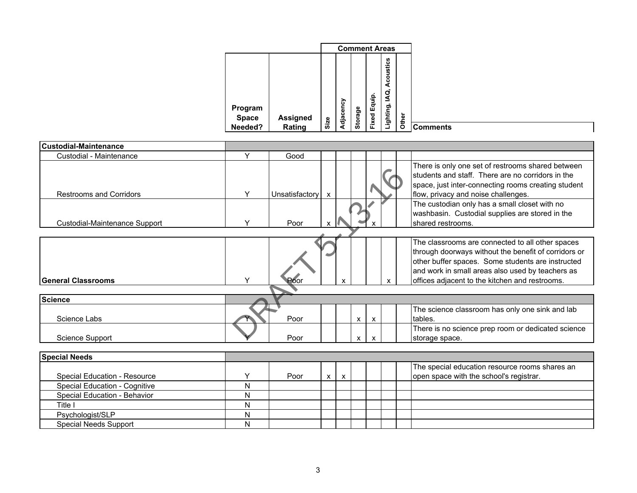| <b>Custodial-Maintenance</b>         |   |                  |   |   |   |   |   |                                                                                                                                                                                                                                                                     |
|--------------------------------------|---|------------------|---|---|---|---|---|---------------------------------------------------------------------------------------------------------------------------------------------------------------------------------------------------------------------------------------------------------------------|
| Custodial - Maintenance              | Y | Good             |   |   |   |   |   |                                                                                                                                                                                                                                                                     |
| <b>Restrooms and Corridors</b>       | Y | Unsatisfactory x |   |   |   |   |   | There is only one set of restrooms shared between<br>students and staff. There are no corridors in the<br>space, just inter-connecting rooms creating student<br>flow, privacy and noise challenges.                                                                |
| Custodial-Maintenance Support        | Y | Poor             |   |   |   |   |   | The custodian only has a small closet with no<br>washbasin. Custodial supplies are stored in the<br>shared restrooms.                                                                                                                                               |
|                                      |   |                  |   |   |   |   |   |                                                                                                                                                                                                                                                                     |
| <b>General Classrooms</b>            | Y | Poor             |   | X |   |   | x | The classrooms are connected to all other spaces<br>through doorways without the benefit of corridors or<br>other buffer spaces. Some students are instructed<br>and work in small areas also used by teachers as<br>offices adjacent to the kitchen and restrooms. |
|                                      |   |                  |   |   |   |   |   |                                                                                                                                                                                                                                                                     |
| <b>Science</b>                       |   |                  |   |   |   |   |   |                                                                                                                                                                                                                                                                     |
| Science Labs                         |   | Poor             |   |   | X | X |   | The science classroom has only one sink and lab<br>tables.                                                                                                                                                                                                          |
| Science Support                      |   | Poor             |   |   | X | X |   | There is no science prep room or dedicated science<br>storage space.                                                                                                                                                                                                |
|                                      |   |                  |   |   |   |   |   |                                                                                                                                                                                                                                                                     |
| <b>Special Needs</b>                 |   |                  |   |   |   |   |   |                                                                                                                                                                                                                                                                     |
| <b>Special Education - Resource</b>  | Y | Poor             | X | X |   |   |   | The special education resource rooms shares an<br>open space with the school's registrar.                                                                                                                                                                           |
| <b>Special Education - Cognitive</b> | N |                  |   |   |   |   |   |                                                                                                                                                                                                                                                                     |
| Special Education - Behavior         | N |                  |   |   |   |   |   |                                                                                                                                                                                                                                                                     |
| Title I                              | N |                  |   |   |   |   |   |                                                                                                                                                                                                                                                                     |
| Psychologist/SLP                     | Ν |                  |   |   |   |   |   |                                                                                                                                                                                                                                                                     |

Psychologist/SLP<br>
Special Needs Support<br>
N

Special Needs Support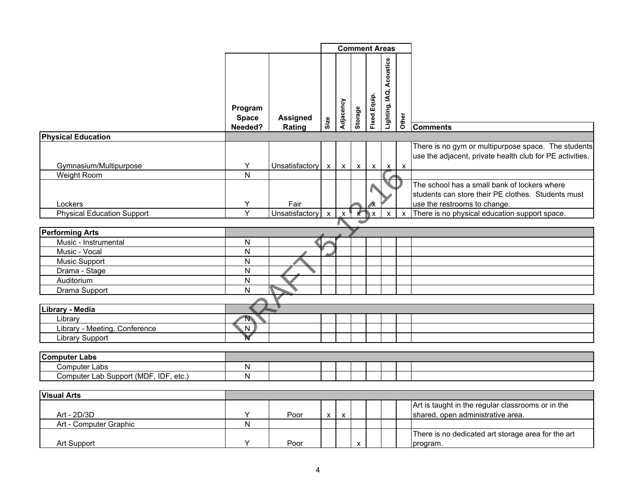|                                       |                                    |                           |                    | <b>Comment Areas</b> |              |                     |                             |              |                                                                                                                                    |
|---------------------------------------|------------------------------------|---------------------------|--------------------|----------------------|--------------|---------------------|-----------------------------|--------------|------------------------------------------------------------------------------------------------------------------------------------|
|                                       | Program<br><b>Space</b><br>Needed? | <b>Assigned</b><br>Rating | Size               | Adjacency            | Storage      | <b>Fixed Equip.</b> | Acoustics<br>Lighting, IAQ, | Other        | <b>Comments</b>                                                                                                                    |
| <b>Physical Education</b>             |                                    |                           |                    |                      |              |                     |                             |              |                                                                                                                                    |
| Gymnasium/Multipurpose<br>Weight Room | Y<br>N                             | Unsatisfactory x          |                    | $\mathsf{x}$         | $\mathsf{X}$ | $\mathsf{X}$        | $\mathsf{x}$                | $\mathsf{x}$ | There is no gym or multipurpose space. The students<br>use the adjacent, private health club for PE activities.                    |
| Lockers                               | Υ                                  | Fair                      |                    |                      |              |                     |                             |              | The school has a small bank of lockers where<br>students can store their PE clothes. Students must<br>use the restrooms to change. |
| <b>Physical Education Support</b>     | $\overline{Y}$                     | Unsatisfactory            | $\pmb{\mathsf{X}}$ | X.                   | $\mathbf{x}$ | ΙX.                 | X                           | $\mathsf{x}$ | There is no physical education support space.                                                                                      |
|                                       |                                    |                           |                    |                      |              |                     |                             |              |                                                                                                                                    |
| <b>Performing Arts</b>                |                                    |                           |                    |                      |              |                     |                             |              |                                                                                                                                    |
| Music - Instrumental                  | N                                  |                           |                    |                      |              |                     |                             |              |                                                                                                                                    |
| Music - Vocal                         | $\overline{\mathsf{N}}$            |                           |                    |                      |              |                     |                             |              |                                                                                                                                    |
| Music Support                         | N                                  |                           |                    |                      |              |                     |                             |              |                                                                                                                                    |
| Drama - Stage                         | ${\sf N}$                          |                           |                    |                      |              |                     |                             |              |                                                                                                                                    |
| Auditorium                            | $\overline{N}$                     |                           |                    |                      |              |                     |                             |              |                                                                                                                                    |
| Drama Support                         | N                                  |                           |                    |                      |              |                     |                             |              |                                                                                                                                    |
|                                       |                                    |                           |                    |                      |              |                     |                             |              |                                                                                                                                    |
| Library - Media                       |                                    |                           |                    |                      |              |                     |                             |              |                                                                                                                                    |
| Library                               | N                                  |                           |                    |                      |              |                     |                             |              |                                                                                                                                    |
| Library - Meeting, Conference         | $\overline{N}$                     |                           |                    |                      |              |                     |                             |              |                                                                                                                                    |
| <b>Library Support</b>                | Ń                                  |                           |                    |                      |              |                     |                             |              |                                                                                                                                    |
|                                       |                                    |                           |                    |                      |              |                     |                             |              |                                                                                                                                    |
| <b>Computer Labs</b>                  |                                    |                           |                    |                      |              |                     |                             |              |                                                                                                                                    |
| <b>Computer Labs</b>                  | N                                  |                           |                    |                      |              |                     |                             |              |                                                                                                                                    |
| Computer Lab Support (MDF, IDF, etc.) | N                                  |                           |                    |                      |              |                     |                             |              |                                                                                                                                    |
|                                       |                                    |                           |                    |                      |              |                     |                             |              |                                                                                                                                    |
| <b>Visual Arts</b>                    |                                    |                           |                    |                      |              |                     |                             |              |                                                                                                                                    |
| Art - 2D/3D                           | Y                                  | Poor                      |                    |                      |              |                     |                             |              | Art is taught in the regular classrooms or in the                                                                                  |
| Art - Computer Graphic                | $\overline{N}$                     |                           | $\mathsf{x}$       | $\pmb{\mathsf{X}}$   |              |                     |                             |              | shared, open administrative area.                                                                                                  |
|                                       |                                    |                           |                    |                      |              |                     |                             |              | There is no dedicated art storage area for the art                                                                                 |
| Art Support                           | Y                                  | Poor                      |                    |                      | X            |                     |                             |              | program.                                                                                                                           |